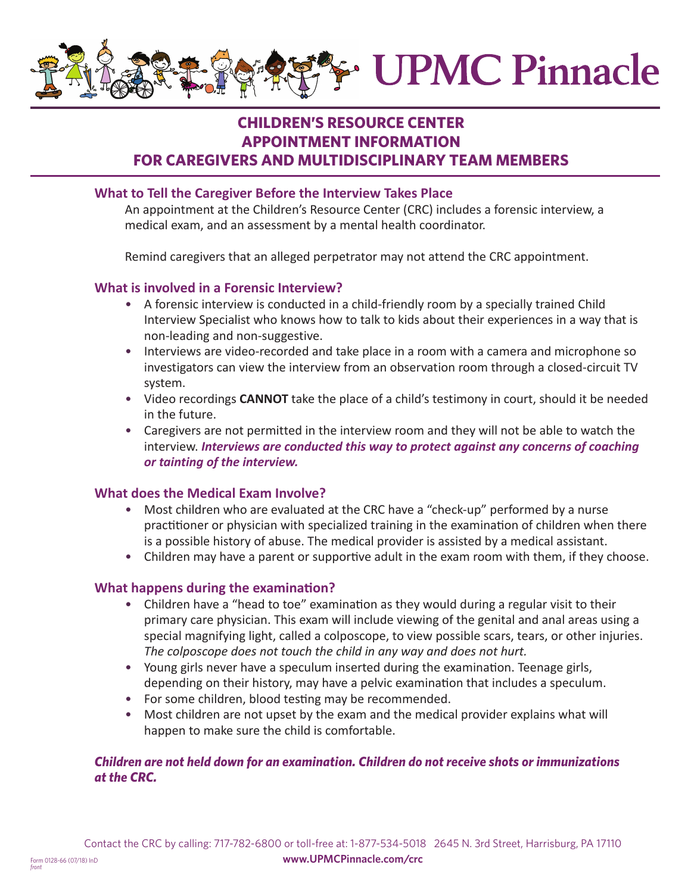

# **CHILDREN'S RESOURCE CENTER APPOINTMENT INFORMATION FOR CAREGIVERS AND MULTIDISCIPLINARY TEAM MEMBERS**

### **What to Tell the Caregiver Before the Interview Takes Place**

 An appointment at the Children's Resource Center (CRC) includes a forensic interview, a medical exam, and an assessment by a mental health coordinator.

Remind caregivers that an alleged perpetrator may not attend the CRC appointment.

### **What is involved in a Forensic Interview?**

- A forensic interview is conducted in a child-friendly room by a specially trained Child Interview Specialist who knows how to talk to kids about their experiences in a way that is non-leading and non-suggestive.
- Interviews are video-recorded and take place in a room with a camera and microphone so investigators can view the interview from an observation room through a closed-circuit TV system.
- Video recordings **CANNOT** take the place of a child's testimony in court, should it be needed in the future.
- Caregivers are not permitted in the interview room and they will not be able to watch the interview. *Interviews are conducted this way to protect against any concerns of coaching or tainting of the interview.*

### **What does the Medical Exam Involve?**

- Most children who are evaluated at the CRC have a "check-up" performed by a nurse practitioner or physician with specialized training in the examination of children when there is a possible history of abuse. The medical provider is assisted by a medical assistant.
- Children may have a parent or supportive adult in the exam room with them, if they choose.

### **What happens during the examination?**

*front*

- Children have a "head to toe" examination as they would during a regular visit to their primary care physician. This exam will include viewing of the genital and anal areas using a special magnifying light, called a colposcope, to view possible scars, tears, or other injuries. *The colposcope does not touch the child in any way and does not hurt.*
- Young girls never have a speculum inserted during the examination. Teenage girls, depending on their history, may have a pelvic examination that includes a speculum.
- For some children, blood testing may be recommended.
- Most children are not upset by the exam and the medical provider explains what will happen to make sure the child is comfortable.

### *Children are not held down for an examination. Children do not receive shots or immunizations at the CRC.*